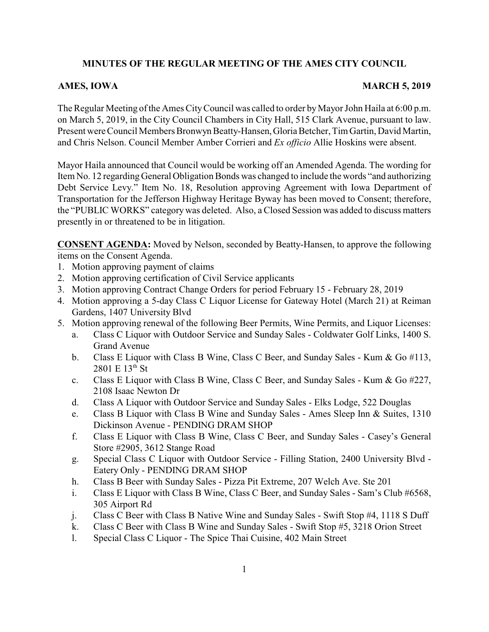## **MINUTES OF THE REGULAR MEETING OF THE AMES CITY COUNCIL**

## **AMES, IOWA** MARCH 5, 2019

The Regular Meeting of the Ames CityCouncil was called to order byMayor John Haila at 6:00 p.m. on March 5, 2019, in the City Council Chambers in City Hall, 515 Clark Avenue, pursuant to law. Present were Council Members Bronwyn Beatty-Hansen,Gloria Betcher, Tim Gartin, David Martin, and Chris Nelson. Council Member Amber Corrieri and *Ex officio* Allie Hoskins were absent.

Mayor Haila announced that Council would be working off an Amended Agenda. The wording for Item No. 12 regarding General Obligation Bonds was changed to include the words "and authorizing Debt Service Levy." Item No. 18, Resolution approving Agreement with Iowa Department of Transportation for the Jefferson Highway Heritage Byway has been moved to Consent; therefore, the "PUBLIC WORKS" category was deleted. Also, a Closed Session was added to discuss matters presently in or threatened to be in litigation.

**CONSENT AGENDA:** Moved by Nelson, seconded by Beatty-Hansen, to approve the following items on the Consent Agenda.

- 1. Motion approving payment of claims
- 2. Motion approving certification of Civil Service applicants
- 3. Motion approving Contract Change Orders for period February 15 February 28, 2019
- 4. Motion approving a 5-day Class C Liquor License for Gateway Hotel (March 21) at Reiman Gardens, 1407 University Blvd
- 5. Motion approving renewal of the following Beer Permits, Wine Permits, and Liquor Licenses:
	- a. Class C Liquor with Outdoor Service and Sunday Sales Coldwater Golf Links, 1400 S. Grand Avenue
	- b. Class E Liquor with Class B Wine, Class C Beer, and Sunday Sales Kum & Go #113,  $2801 E 13^{th}$  St
	- c. Class E Liquor with Class B Wine, Class C Beer, and Sunday Sales Kum & Go #227, 2108 Isaac Newton Dr
	- d. Class A Liquor with Outdoor Service and Sunday Sales Elks Lodge, 522 Douglas
	- e. Class B Liquor with Class B Wine and Sunday Sales Ames Sleep Inn & Suites, 1310 Dickinson Avenue - PENDING DRAM SHOP
	- f. Class E Liquor with Class B Wine, Class C Beer, and Sunday Sales Casey's General Store #2905, 3612 Stange Road
	- g. Special Class C Liquor with Outdoor Service Filling Station, 2400 University Blvd Eatery Only - PENDING DRAM SHOP
	- h. Class B Beer with Sunday Sales Pizza Pit Extreme, 207 Welch Ave. Ste 201
	- i. Class E Liquor with Class B Wine, Class C Beer, and Sunday Sales Sam's Club #6568, 305 Airport Rd
	- j. Class C Beer with Class B Native Wine and Sunday Sales Swift Stop #4, 1118 S Duff
	- k. Class C Beer with Class B Wine and Sunday Sales Swift Stop #5, 3218 Orion Street
	- l. Special Class C Liquor The Spice Thai Cuisine, 402 Main Street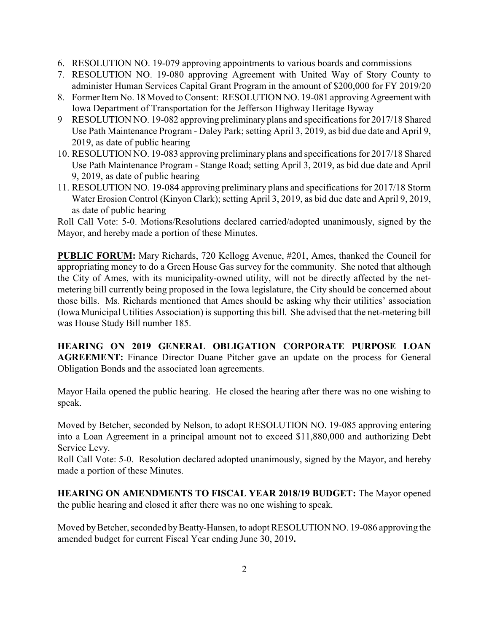- 6. RESOLUTION NO. 19-079 approving appointments to various boards and commissions
- 7. RESOLUTION NO. 19-080 approving Agreement with United Way of Story County to administer Human Services Capital Grant Program in the amount of \$200,000 for FY 2019/20
- 8. Former Item No. 18 Moved to Consent: RESOLUTION NO. 19-081 approving Agreement with Iowa Department of Transportation for the Jefferson Highway Heritage Byway
- 9 RESOLUTION NO. 19-082 approving preliminary plans and specifications for 2017/18 Shared Use Path Maintenance Program - Daley Park; setting April 3, 2019, as bid due date and April 9, 2019, as date of public hearing
- 10. RESOLUTION NO. 19-083 approving preliminary plans and specifications for 2017/18 Shared Use Path Maintenance Program - Stange Road; setting April 3, 2019, as bid due date and April 9, 2019, as date of public hearing
- 11. RESOLUTION NO. 19-084 approving preliminary plans and specifications for 2017/18 Storm Water Erosion Control (Kinyon Clark); setting April 3, 2019, as bid due date and April 9, 2019, as date of public hearing

Roll Call Vote: 5-0. Motions/Resolutions declared carried/adopted unanimously, signed by the Mayor, and hereby made a portion of these Minutes.

**PUBLIC FORUM:** Mary Richards, 720 Kellogg Avenue, #201, Ames, thanked the Council for appropriating money to do a Green House Gas survey for the community. She noted that although the City of Ames, with its municipality-owned utility, will not be directly affected by the netmetering bill currently being proposed in the Iowa legislature, the City should be concerned about those bills. Ms. Richards mentioned that Ames should be asking why their utilities' association (Iowa Municipal Utilities Association) is supporting this bill. She advised that the net-metering bill was House Study Bill number 185.

**HEARING ON 2019 GENERAL OBLIGATION CORPORATE PURPOSE LOAN AGREEMENT:** Finance Director Duane Pitcher gave an update on the process for General Obligation Bonds and the associated loan agreements.

Mayor Haila opened the public hearing. He closed the hearing after there was no one wishing to speak.

Moved by Betcher, seconded by Nelson, to adopt RESOLUTION NO. 19-085 approving entering into a Loan Agreement in a principal amount not to exceed \$11,880,000 and authorizing Debt Service Levy.

Roll Call Vote: 5-0. Resolution declared adopted unanimously, signed by the Mayor, and hereby made a portion of these Minutes.

**HEARING ON AMENDMENTS TO FISCAL YEAR 2018/19 BUDGET:** The Mayor opened the public hearing and closed it after there was no one wishing to speak.

Moved by Betcher, seconded by Beatty-Hansen, to adopt RESOLUTION NO. 19-086 approving the amended budget for current Fiscal Year ending June 30, 2019**.**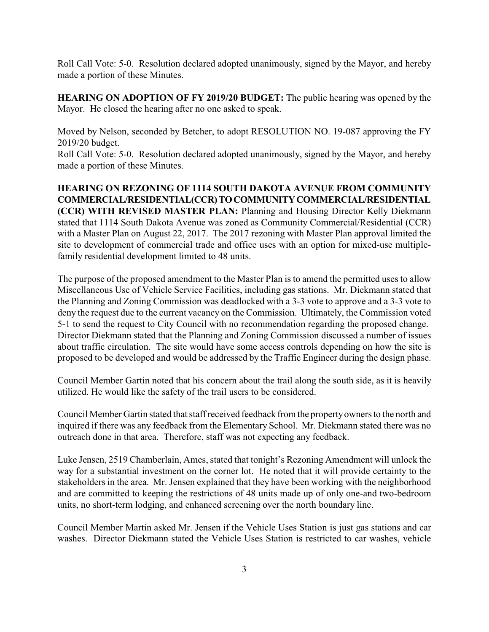Roll Call Vote: 5-0. Resolution declared adopted unanimously, signed by the Mayor, and hereby made a portion of these Minutes.

**HEARING ON ADOPTION OF FY 2019/20 BUDGET:** The public hearing was opened by the Mayor. He closed the hearing after no one asked to speak.

Moved by Nelson, seconded by Betcher, to adopt RESOLUTION NO. 19-087 approving the FY 2019/20 budget.

Roll Call Vote: 5-0. Resolution declared adopted unanimously, signed by the Mayor, and hereby made a portion of these Minutes.

**HEARING ON REZONING OF 1114 SOUTH DAKOTA AVENUE FROM COMMUNITY COMMERCIAL/RESIDENTIAL(CCR)TOCOMMUNITYCOMMERCIAL/RESIDENTIAL (CCR) WITH REVISED MASTER PLAN:** Planning and Housing Director Kelly Diekmann stated that 1114 South Dakota Avenue was zoned as Community Commercial/Residential (CCR) with a Master Plan on August 22, 2017. The 2017 rezoning with Master Plan approval limited the site to development of commercial trade and office uses with an option for mixed-use multiplefamily residential development limited to 48 units.

The purpose of the proposed amendment to the Master Plan is to amend the permitted uses to allow Miscellaneous Use of Vehicle Service Facilities, including gas stations. Mr. Diekmann stated that the Planning and Zoning Commission was deadlocked with a 3-3 vote to approve and a 3-3 vote to deny the request due to the current vacancy on the Commission. Ultimately, the Commission voted 5-1 to send the request to City Council with no recommendation regarding the proposed change. Director Diekmann stated that the Planning and Zoning Commission discussed a number of issues about traffic circulation. The site would have some access controls depending on how the site is proposed to be developed and would be addressed by the Traffic Engineer during the design phase.

Council Member Gartin noted that his concern about the trail along the south side, as it is heavily utilized. He would like the safety of the trail users to be considered.

Council Member Gartin stated that staff received feedback from the propertyowners to the north and inquired if there was any feedback from the Elementary School. Mr. Diekmann stated there was no outreach done in that area. Therefore, staff was not expecting any feedback.

Luke Jensen, 2519 Chamberlain, Ames, stated that tonight's Rezoning Amendment will unlock the way for a substantial investment on the corner lot. He noted that it will provide certainty to the stakeholders in the area. Mr. Jensen explained that they have been working with the neighborhood and are committed to keeping the restrictions of 48 units made up of only one-and two-bedroom units, no short-term lodging, and enhanced screening over the north boundary line.

Council Member Martin asked Mr. Jensen if the Vehicle Uses Station is just gas stations and car washes. Director Diekmann stated the Vehicle Uses Station is restricted to car washes, vehicle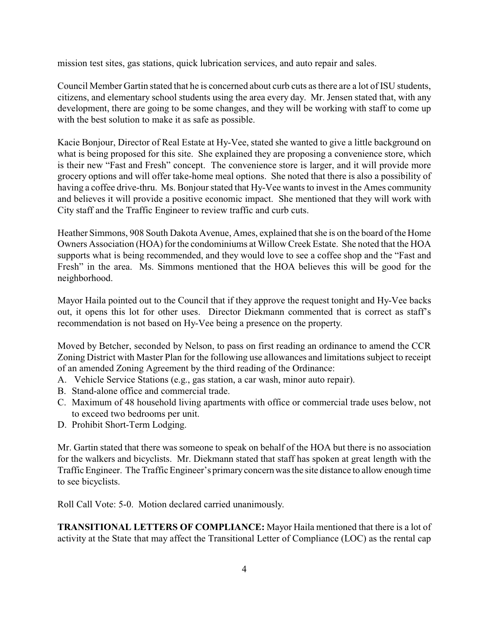mission test sites, gas stations, quick lubrication services, and auto repair and sales.

Council Member Gartin stated that he is concerned about curb cuts as there are a lot of ISU students, citizens, and elementary school students using the area every day. Mr. Jensen stated that, with any development, there are going to be some changes, and they will be working with staff to come up with the best solution to make it as safe as possible.

Kacie Bonjour, Director of Real Estate at Hy-Vee, stated she wanted to give a little background on what is being proposed for this site. She explained they are proposing a convenience store, which is their new "Fast and Fresh" concept. The convenience store is larger, and it will provide more grocery options and will offer take-home meal options. She noted that there is also a possibility of having a coffee drive-thru. Ms. Bonjour stated that Hy-Vee wants to invest in the Ames community and believes it will provide a positive economic impact. She mentioned that they will work with City staff and the Traffic Engineer to review traffic and curb cuts.

Heather Simmons, 908 South Dakota Avenue, Ames, explained that she is on the board of the Home Owners Association (HOA) for the condominiums at Willow Creek Estate. She noted that the HOA supports what is being recommended, and they would love to see a coffee shop and the "Fast and Fresh" in the area. Ms. Simmons mentioned that the HOA believes this will be good for the neighborhood.

Mayor Haila pointed out to the Council that if they approve the request tonight and Hy-Vee backs out, it opens this lot for other uses. Director Diekmann commented that is correct as staff's recommendation is not based on Hy-Vee being a presence on the property.

Moved by Betcher, seconded by Nelson, to pass on first reading an ordinance to amend the CCR Zoning District with Master Plan for the following use allowances and limitations subject to receipt of an amended Zoning Agreement by the third reading of the Ordinance:

- A. Vehicle Service Stations (e.g., gas station, a car wash, minor auto repair).
- B. Stand-alone office and commercial trade.
- C. Maximum of 48 household living apartments with office or commercial trade uses below, not to exceed two bedrooms per unit.
- D. Prohibit Short-Term Lodging.

Mr. Gartin stated that there was someone to speak on behalf of the HOA but there is no association for the walkers and bicyclists. Mr. Diekmann stated that staff has spoken at great length with the Traffic Engineer. The Traffic Engineer's primaryconcern was the site distance to allow enough time to see bicyclists.

Roll Call Vote: 5-0. Motion declared carried unanimously.

**TRANSITIONAL LETTERS OF COMPLIANCE:** Mayor Haila mentioned that there is a lot of activity at the State that may affect the Transitional Letter of Compliance (LOC) as the rental cap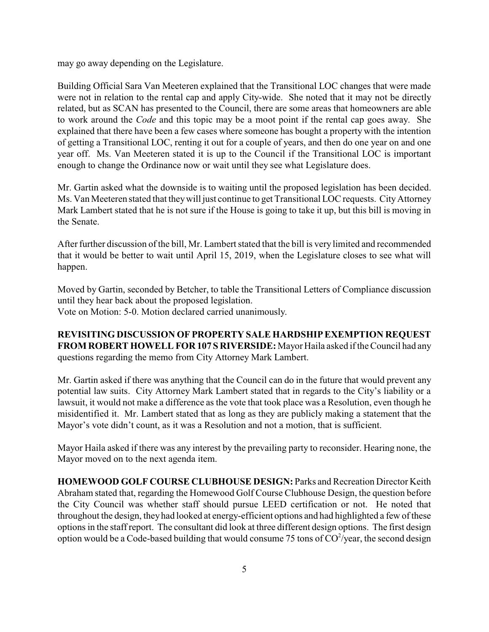may go away depending on the Legislature.

Building Official Sara Van Meeteren explained that the Transitional LOC changes that were made were not in relation to the rental cap and apply City-wide. She noted that it may not be directly related, but as SCAN has presented to the Council, there are some areas that homeowners are able to work around the *Code* and this topic may be a moot point if the rental cap goes away. She explained that there have been a few cases where someone has bought a property with the intention of getting a Transitional LOC, renting it out for a couple of years, and then do one year on and one year off. Ms. Van Meeteren stated it is up to the Council if the Transitional LOC is important enough to change the Ordinance now or wait until they see what Legislature does.

Mr. Gartin asked what the downside is to waiting until the proposed legislation has been decided. Ms. Van Meeteren stated that theywill just continue to get Transitional LOC requests. CityAttorney Mark Lambert stated that he is not sure if the House is going to take it up, but this bill is moving in the Senate.

After further discussion of the bill, Mr. Lambert stated that the bill is very limited and recommended that it would be better to wait until April 15, 2019, when the Legislature closes to see what will happen.

Moved by Gartin, seconded by Betcher, to table the Transitional Letters of Compliance discussion until they hear back about the proposed legislation. Vote on Motion: 5-0. Motion declared carried unanimously.

**REVISITING DISCUSSION OF PROPERTY SALE HARDSHIPEXEMPTION REQUEST FROM ROBERT HOWELL FOR 107 S RIVERSIDE:** Mayor Haila asked if the Council had any questions regarding the memo from City Attorney Mark Lambert.

Mr. Gartin asked if there was anything that the Council can do in the future that would prevent any potential law suits. City Attorney Mark Lambert stated that in regards to the City's liability or a lawsuit, it would not make a difference as the vote that took place was a Resolution, even though he misidentified it. Mr. Lambert stated that as long as they are publicly making a statement that the Mayor's vote didn't count, as it was a Resolution and not a motion, that is sufficient.

Mayor Haila asked if there was any interest by the prevailing party to reconsider. Hearing none, the Mayor moved on to the next agenda item.

**HOMEWOOD GOLF COURSE CLUBHOUSE DESIGN:** Parks and Recreation Director Keith Abraham stated that, regarding the Homewood Golf Course Clubhouse Design, the question before the City Council was whether staff should pursue LEED certification or not. He noted that throughout the design, theyhad looked at energy-efficient options and had highlighted a few of these options in the staff report. The consultant did look at three different design options. The first design option would be a Code-based building that would consume 75 tons of  $CO^2$ /year, the second design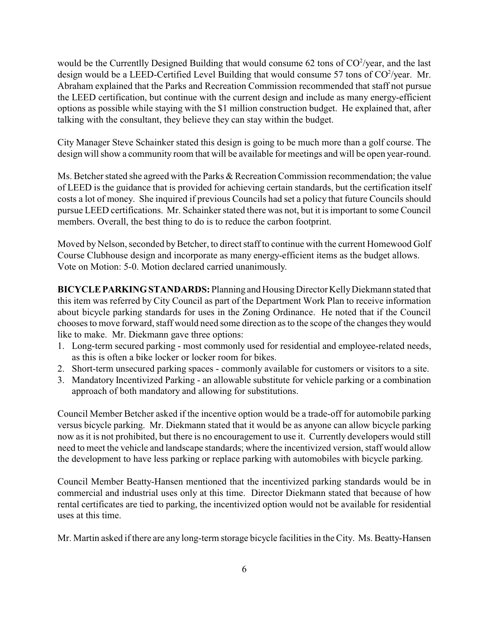would be the Currentlly Designed Building that would consume 62 tons of  $CO^2$ /year, and the last design would be a LEED-Certified Level Building that would consume 57 tons of  $CO^2$ /year. Mr. Abraham explained that the Parks and Recreation Commission recommended that staff not pursue the LEED certification, but continue with the current design and include as many energy-efficient options as possible while staying with the \$1 million construction budget. He explained that, after talking with the consultant, they believe they can stay within the budget.

City Manager Steve Schainker stated this design is going to be much more than a golf course. The design will show a community room that will be available for meetings and will be open year-round.

Ms. Betcher stated she agreed with the Parks & Recreation Commission recommendation; the value of LEED is the guidance that is provided for achieving certain standards, but the certification itself costs a lot of money. She inquired if previous Councils had set a policy that future Councils should pursue LEED certifications. Mr. Schainker stated there was not, but it is important to some Council members. Overall, the best thing to do is to reduce the carbon footprint.

Moved by Nelson, seconded by Betcher, to direct staff to continue with the current Homewood Golf Course Clubhouse design and incorporate as many energy-efficient items as the budget allows. Vote on Motion: 5-0. Motion declared carried unanimously.

**BICYCLEPARKINGSTANDARDS:** Planning and HousingDirector KellyDiekmann stated that this item was referred by City Council as part of the Department Work Plan to receive information about bicycle parking standards for uses in the Zoning Ordinance. He noted that if the Council chooses to move forward, staff would need some direction as to the scope of the changes they would like to make. Mr. Diekmann gave three options:

- 1. Long-term secured parking most commonly used for residential and employee-related needs, as this is often a bike locker or locker room for bikes.
- 2. Short-term unsecured parking spaces commonly available for customers or visitors to a site.
- 3. Mandatory Incentivized Parking an allowable substitute for vehicle parking or a combination approach of both mandatory and allowing for substitutions.

Council Member Betcher asked if the incentive option would be a trade-off for automobile parking versus bicycle parking. Mr. Diekmann stated that it would be as anyone can allow bicycle parking now as it is not prohibited, but there is no encouragement to use it. Currently developers would still need to meet the vehicle and landscape standards; where the incentivized version, staff would allow the development to have less parking or replace parking with automobiles with bicycle parking.

Council Member Beatty-Hansen mentioned that the incentivized parking standards would be in commercial and industrial uses only at this time. Director Diekmann stated that because of how rental certificates are tied to parking, the incentivized option would not be available for residential uses at this time.

Mr. Martin asked if there are any long-term storage bicycle facilities in the City. Ms. Beatty-Hansen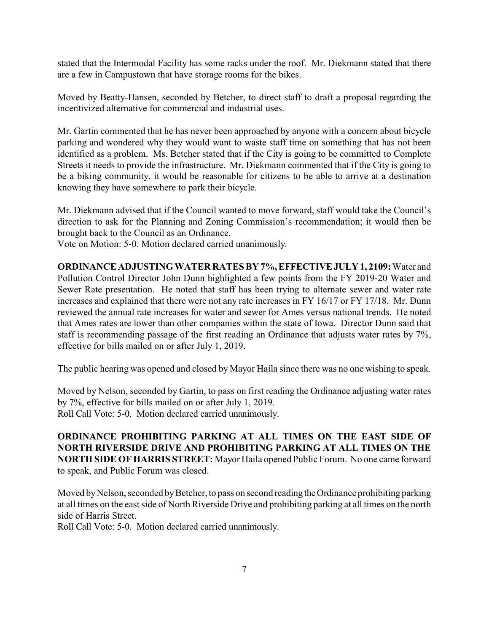stated that the Intermodal Facility has some racks under the roof. Mr. Diekmann stated that there are a few in Campustown that have storage rooms for the bikes.

Moved by Beatty-Hansen, seconded by Betcher, to direct staff to draft a proposal regarding the incentivized alternative for commercial and industrial uses.

Mr. Gartin commented that he has never been approached by anyone with a concern about bicycle parking and wondered why they would want to waste staff time on something that has not been identified as a problem. Ms. Betcher stated that if the City is going to be committed to Complete Streets it needs to provide the infrastructure. Mr. Diekmann commented that if the City is going to be a biking community, it would be reasonable for citizens to be able to arrive at a destination knowing they have somewhere to park their bicycle.

Mr. Diekmann advised that if the Council wanted to move forward, staff would take the Council's direction to ask for the Planning and Zoning Commission's recommendation; it would then be brought back to the Council as an Ordinance.

Vote on Motion: 5-0. Motion declared carried unanimously.

**ORDINANCE ADJUSTINGWATER RATES BY 7%,EFFECTIVEJULY 1, 2109:** Water and Pollution Control Director John Dunn highlighted a few points from the FY 2019-20 Water and Sewer Rate presentation. He noted that staff has been trying to alternate sewer and water rate increases and explained that there were not any rate increases in FY 16/17 or FY 17/18. Mr. Dunn reviewed the annual rate increases for water and sewer for Ames versus national trends. He noted that Ames rates are lower than other companies within the state of Iowa. Director Dunn said that staff is recommending passage of the first reading an Ordinance that adjusts water rates by 7%, effective for bills mailed on or after July 1, 2019.

The public hearing was opened and closed by Mayor Haila since there was no one wishing to speak.

Moved by Nelson, seconded by Gartin, to pass on first reading the Ordinance adjusting water rates by 7%, effective for bills mailed on or after July 1, 2019. Roll Call Vote: 5-0. Motion declared carried unanimously.

**ORDINANCE PROHIBITING PARKING AT ALL TIMES ON THE EAST SIDE OF NORTH RIVERSIDE DRIVE AND PROHIBITING PARKING AT ALL TIMES ON THE NORTH SIDE OF HARRIS STREET:** Mayor Haila opened Public Forum. No one came forward to speak, and Public Forum was closed.

Moved by Nelson, seconded by Betcher, to pass on second reading the Ordinance prohibiting parking at all times on the east side of North Riverside Drive and prohibiting parking at all times on the north side of Harris Street.

Roll Call Vote: 5-0. Motion declared carried unanimously.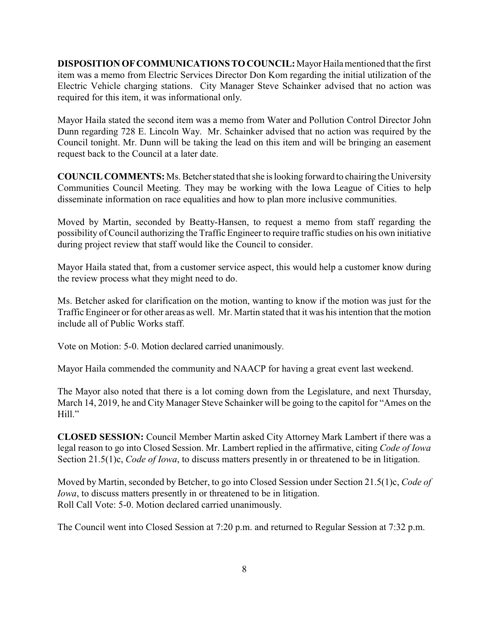**DISPOSITION OF COMMUNICATIONS TO COUNCIL:** Mayor Haila mentioned that the first item was a memo from Electric Services Director Don Kom regarding the initial utilization of the Electric Vehicle charging stations. City Manager Steve Schainker advised that no action was required for this item, it was informational only.

Mayor Haila stated the second item was a memo from Water and Pollution Control Director John Dunn regarding 728 E. Lincoln Way. Mr. Schainker advised that no action was required by the Council tonight. Mr. Dunn will be taking the lead on this item and will be bringing an easement request back to the Council at a later date.

**COUNCIL COMMENTS:** Ms. Betcher stated that she is looking forward to chairing the University Communities Council Meeting. They may be working with the Iowa League of Cities to help disseminate information on race equalities and how to plan more inclusive communities.

Moved by Martin, seconded by Beatty-Hansen, to request a memo from staff regarding the possibility of Council authorizing the Traffic Engineer to require traffic studies on his own initiative during project review that staff would like the Council to consider.

Mayor Haila stated that, from a customer service aspect, this would help a customer know during the review process what they might need to do.

Ms. Betcher asked for clarification on the motion, wanting to know if the motion was just for the Traffic Engineer or for other areas as well. Mr. Martin stated that it was his intention that the motion include all of Public Works staff.

Vote on Motion: 5-0. Motion declared carried unanimously.

Mayor Haila commended the community and NAACP for having a great event last weekend.

The Mayor also noted that there is a lot coming down from the Legislature, and next Thursday, March 14, 2019, he and City Manager Steve Schainker will be going to the capitol for "Ames on the Hill."

**CLOSED SESSION:** Council Member Martin asked City Attorney Mark Lambert if there was a legal reason to go into Closed Session. Mr. Lambert replied in the affirmative, citing *Code of Iowa* Section 21.5(1)c, *Code of Iowa*, to discuss matters presently in or threatened to be in litigation.

Moved by Martin, seconded by Betcher, to go into Closed Session under Section 21.5(1)c, *Code of Iowa*, to discuss matters presently in or threatened to be in litigation. Roll Call Vote: 5-0. Motion declared carried unanimously.

The Council went into Closed Session at 7:20 p.m. and returned to Regular Session at 7:32 p.m.